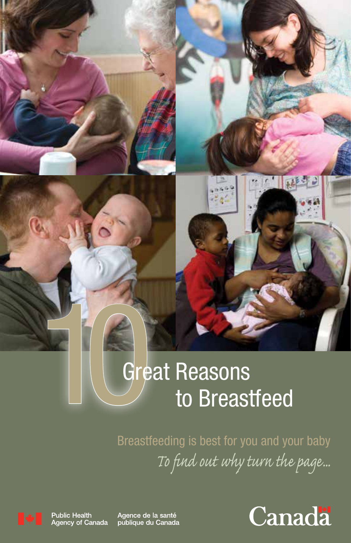# **10 Great Reasons**<br>to Breast to Breastfeed

Breastfeeding is best for you and your baby *To find out why turn the page...*



**Public Health** Agency of Canada Agence de la santé publique du Canada

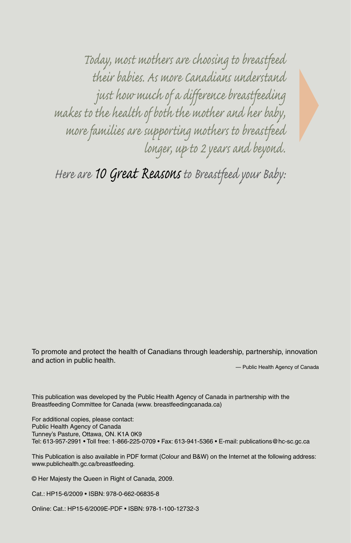*Today, most mothers are choosing to breastfeed their babies. As more Canadians understand just how much of a difference breastfeeding makes to the health of both the mother and her baby, more families are supporting mothers to breastfeed longer, up to 2 years and beyond.* 

*Here are 10 Great Reasons to Breastfeed your Baby:*

To promote and protect the health of Canadians through leadership, partnership, innovation and action in public health.

— Public Health Agency of Canada

This publication was developed by the Public Health Agency of Canada in partnership with the Breastfeeding Committee for Canada (www. breastfeedingcanada.ca)

For additional copies, please contact: Public Health Agency of Canada Tunney's Pasture, Ottawa, ON. K1A 0K9 Tel: 613-957-2991 • Toll free: 1-866-225-0709 • Fax: 613-941-5366 • E-mail: publications@hc-sc.gc.ca

This Publication is also available in PDF format (Colour and B&W) on the Internet at the following address: www.publichealth.gc.ca/breastfeeding.

© Her Majesty the Queen in Right of Canada, 2009.

Cat.: HP15-6/2009 • ISBN: 978-0-662-06835-8

Online: Cat.: HP15-6/2009E-PDF • ISBN: 978-1-100-12732-3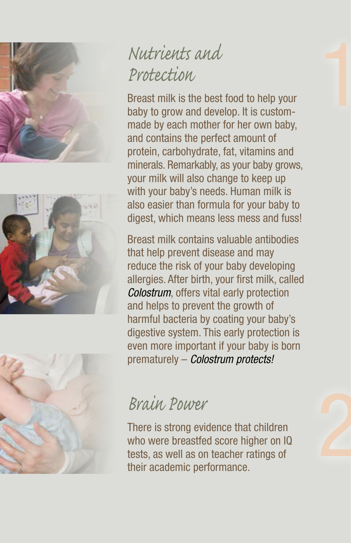





### *Nutrients and Protection*

Breast milk is the best food to help your baby to grow and develop. It is custommade by each mother for her own baby, and contains the perfect amount of protein, carbohydrate, fat, vitamins and minerals. Remarkably, as your baby grows, your milk will also change to keep up with your baby's needs. Human milk is also easier than formula for your baby to digest, which means less mess and fuss!

Breast milk contains valuable antibodies that help prevent disease and may reduce the risk of your baby developing allergies. After birth, your first milk, called *Colostrum*, offers vital early protection and helps to prevent the growth of harmful bacteria by coating your baby's digestive system. This early protection is even more important if your baby is born prematurely – *Colostrum protects!*

#### *Brain Power*

There is strong evidence that children who were breastfed score higher on IQ tests, as well as on teacher ratings of their academic performance.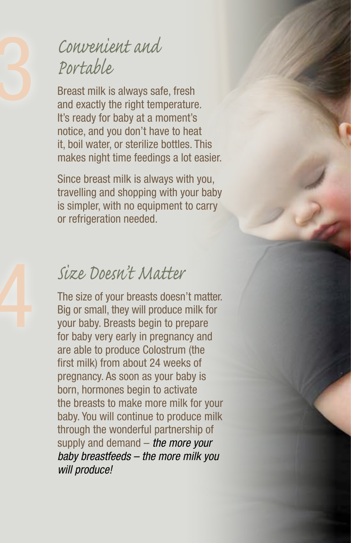#### 3 *Convenient and Portable*

Breast milk is always safe, fresh and exactly the right temperature. It's ready for baby at a moment's notice, and you don't have to heat it, boil water, or sterilize bottles. This makes night time feedings a lot easier.

Since breast milk is always with you, travelling and shopping with your baby is simpler, with no equipment to carry or refrigeration needed.

Size Doesn't Matter<br>The size of your breasts doesn<br>Big or small, they will produce<br>your baby. Breasts begin to pr<br>for baby very early in pregnan The size of your breasts doesn't matter. Big or small, they will produce milk for your baby. Breasts begin to prepare for baby very early in pregnancy and are able to produce Colostrum (the first milk) from about 24 weeks of pregnancy. As soon as your baby is born, hormones begin to activate the breasts to make more milk for your baby. You will continue to produce milk through the wonderful partnership of supply and demand – *the more your baby breastfeeds – the more milk you will produce!*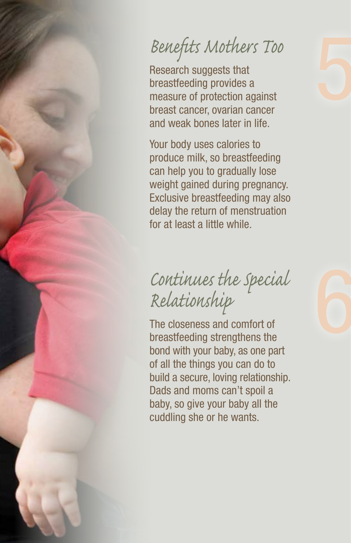## *Benefits Mothers Too*

Research suggests that breastfeeding provides a measure of protection against breast cancer, ovarian cancer and weak bones later in life.

Your body uses calories to produce milk, so breastfeeding can help you to gradually lose weight gained during pregnancy. Exclusive breastfeeding may also delay the return of menstruation for at least a little while.

## *Continues the Special Relationship*

The closeness and comfort of breastfeeding strengthens the bond with your baby, as one part of all the things you can do to build a secure, loving relationship. Dads and moms can't spoil a baby, so give your baby all the cuddling she or he wants.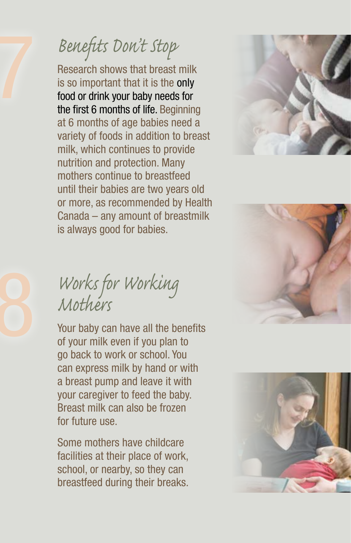# 7 *Benefits Don't Stop*

Research shows that breast milk is so important that it is the only food or drink your baby needs for the first 6 months of life. Beginning at 6 months of age babies need a variety of foods in addition to breast milk, which continues to provide nutrition and protection. Many mothers continue to breastfeed until their babies are two years old or more, as recommended by Health Canada – any amount of breastmilk is always good for babies.







Your baby can have all the benefits of your milk even if you plan to go back to work or school. You can express milk by hand or with a breast pump and leave it with your caregiver to feed the baby. Breast milk can also be frozen for future use.

Some mothers have childcare facilities at their place of work, school, or nearby, so they can breastfeed during their breaks.

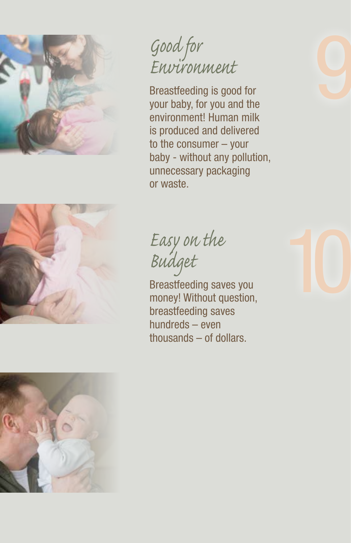



*Good for Environment*

Breastfeeding is good for your baby, for you and the environment! Human milk is produced and delivered to the consumer – your baby - without any pollution, unnecessary packaging or waste.

*Easy on the Budget*

Breastfeeding saves you money! Without question, breastfeeding saves hundreds – even thousands – of dollars.